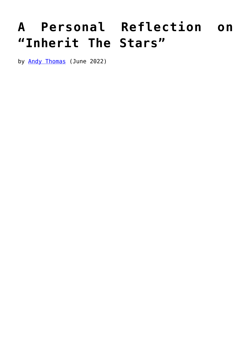## **[A Personal Reflection on](https://www.newenglishreview.org/articles/a-personal-reflection-on-inherit-the-stars/) ["Inherit The Stars"](https://www.newenglishreview.org/articles/a-personal-reflection-on-inherit-the-stars/)**

by **[Andy Thomas](https://www.newenglishreview.org/authors/andy-thomas/)** (June 2022)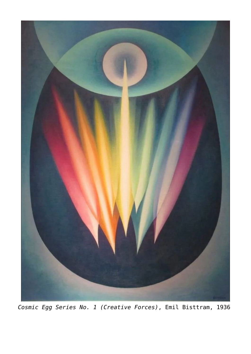

*Cosmic Egg Series No. 1 (Creative Forces)*, Emil Bisttram, 1936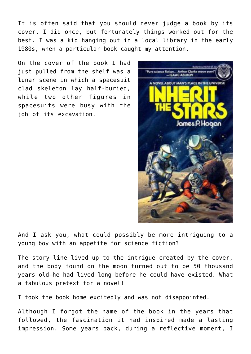It is often said that you should never judge a book by its cover. I did once, but fortunately things worked out for the best. I was a kid hanging out in a local library in the early 1980s, when a particular book caught my attention.

On the cover of the book I had just pulled from the shelf was a lunar scene in which a spacesuit clad skeleton lay half-buried, while two other figures in spacesuits were busy with the job of its excavation.



And I ask you, what could possibly be more intriguing to a young boy with an appetite for science fiction?

The story line lived up to the intrigue created by the cover, and the body found on the moon turned out to be 50 thousand years old—he had lived long before he could have existed. What a fabulous pretext for a novel!

I took the book home excitedly and was not disappointed.

Although I forgot the name of the book in the years that followed, the fascination it had inspired made a lasting impression. Some years back, during a reflective moment, I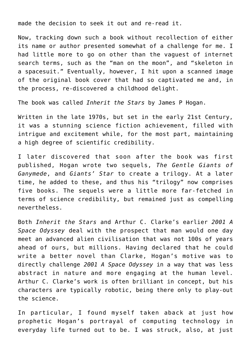made the decision to seek it out and re-read it.

Now, tracking down such a book without recollection of either its name or author presented somewhat of a challenge for me. I had little more to go on other than the vaguest of internet search terms, such as the "man on the moon", and "skeleton in a spacesuit." Eventually, however, I hit upon a scanned image of the original book cover that had so captivated me and, in the process, re-discovered a childhood delight.

The book was called *Inherit the Stars* by James P Hogan.

Written in the late 1970s, but set in the early 21st Century, it was a stunning science fiction achievement, filled with intrigue and excitement while, for the most part, maintaining a high degree of scientific credibility.

I later discovered that soon after the book was first published, Hogan wrote two sequels, *The Gentle Giants of Ganymede*, and *Giants' Star* to create a trilogy. At a later time, he added to these, and thus his "trilogy" now comprises five books. The sequels were a little more far-fetched in terms of science credibility, but remained just as compelling nevertheless.

Both *Inherit the Stars* and Arthur C. Clarke's earlier *2001 A Space Odyssey* deal with the prospect that man would one day meet an advanced alien civilisation that was not 100s of years ahead of ours, but millions. Having declared that he could write a better novel than Clarke, Hogan's motive was to directly challenge *2001 A Space Odyssey* in a way that was less abstract in nature and more engaging at the human level. Arthur C. Clarke's work is often brilliant in concept, but his characters are typically robotic, being there only to play-out the science.

In particular, I found myself taken aback at just how prophetic Hogan's portrayal of computing technology in everyday life turned out to be. I was struck, also, at just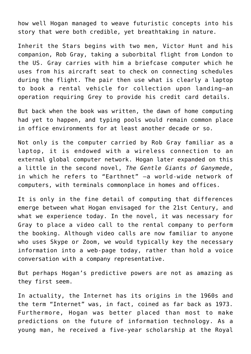how well Hogan managed to weave futuristic concepts into his story that were both credible, yet breathtaking in nature.

Inherit the Stars begins with two men, Victor Hunt and his companion, Rob Gray, taking a suborbital flight from London to the US. Gray carries with him a briefcase computer which he uses from his aircraft seat to check on connecting schedules during the flight. The pair then use what is clearly a laptop to book a rental vehicle for collection upon landing—an operation requiring Grey to provide his credit card details.

But back when the book was written, the dawn of home computing had yet to happen, and typing pools would remain common place in office environments for at least another decade or so.

Not only is the computer carried by Rob Gray familiar as a laptop, it is endowed with a wireless connection to an external global computer network. Hogan later expanded on this a little in the second novel, *The Gentle Giants of Ganymede*, in which he refers to "Earthnet" —a world-wide network of computers, with terminals commonplace in homes and offices.

It is only in the fine detail of computing that differences emerge between what Hogan envisaged for the 21st Century, and what we experience today. In the novel, it was necessary for Gray to place a video call to the rental company to perform the booking. Although video calls are now familiar to anyone who uses Skype or Zoom, we would typically key the necessary information into a web-page today, rather than hold a voice conversation with a company representative.

But perhaps Hogan's predictive powers are not as amazing as they first seem.

In actuality, the Internet has its origins in the 1960s and the term "Internet" was, in fact, coined as far back as 1973. Furthermore, Hogan was better placed than most to make predictions on the future of information technology. As a young man, he received a five-year scholarship at the Royal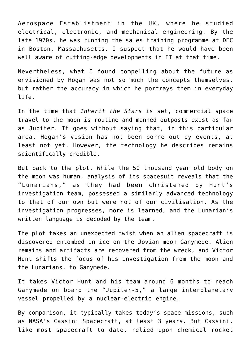Aerospace Establishment in the UK, where he studied electrical, electronic, and mechanical engineering. By the late 1970s, he was running the sales training programme at DEC in Boston, Massachusetts. I suspect that he would have been well aware of cutting-edge developments in IT at that time.

Nevertheless, what I found compelling about the future as envisioned by Hogan was not so much the concepts themselves, but rather the accuracy in which he portrays them in everyday life.

In the time that *Inherit the Stars* is set, commercial space travel to the moon is routine and manned outposts exist as far as Jupiter. It goes without saying that, in this particular area, Hogan's vision has not been borne out by events, at least not yet. However, the technology he describes remains scientifically credible.

But back to the plot. While the 50 thousand year old body on the moon was human, analysis of its spacesuit reveals that the "Lunarians," as they had been christened by Hunt's investigation team, possessed a similarly advanced technology to that of our own but were not of our civilisation. As the investigation progresses, more is learned, and the Lunarian's written language is decoded by the team.

The plot takes an unexpected twist when an alien spacecraft is discovered entombed in ice on the Jovian moon Ganymede. Alien remains and artifacts are recovered from the wreck, and Victor Hunt shifts the focus of his investigation from the moon and the Lunarians, to Ganymede.

It takes Victor Hunt and his team around 6 months to reach Ganymede on board the "Jupiter-5," a large interplanetary vessel propelled by a nuclear-electric engine.

By comparison, it typically takes today's space missions, such as NASA's Cassini Spacecraft, at least 3 years. But Cassini, like most spacecraft to date, relied upon chemical rocket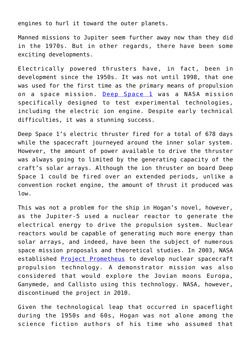engines to hurl it toward the outer planets.

Manned missions to Jupiter seem further away now than they did in the 1970s. But in other regards, there have been some exciting developments.

Electrically powered thrusters have, in fact, been in development since the 1950s. It was not until 1998, that one was used for the first time as the primary means of propulsion on a space mission. [Deep Space 1](https://www.jpl.nasa.gov/missions/deep-space-1-ds1) was a NASA mission specifically designed to test experimental technologies, including the electric ion engine. Despite early technical difficulties, it was a stunning success.

Deep Space 1's electric thruster fired for a total of 678 days while the spacecraft journeyed around the inner solar system. However, the amount of power available to drive the thruster was always going to limited by the generating capacity of the craft's solar arrays. Although the ion thruster on board Deep Space 1 could be fired over an extended periods, unlike a convention rocket engine, the amount of thrust it produced was low.

This was not a problem for the ship in Hogan's novel, however, as the Jupiter-5 used a nuclear reactor to generate the electrical energy to drive the propulsion system. Nuclear reactors would be capable of generating much more energy than solar arrays, and indeed, have been the subject of numerous space mission proposals and theoretical studies. In 2003, NASA established **Project Prometheus** to develop nuclear spacecraft propulsion technology. A demonstrator mission was also considered that would explore the Jovian moons Europa, Ganymede, and Callisto using this technology. NASA, however, discontinued the project in 2010.

Given the technological leap that occurred in spaceflight during the 1950s and 60s, Hogan was not alone among the science fiction authors of his time who assumed that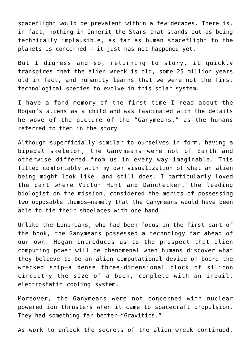spaceflight would be prevalent within a few decades. There is, in fact, nothing in Inherit the Stars that stands out as being technically implausible, as far as human spaceflight to the planets is concerned — it just has not happened yet.

But I digress and so, returning to story, it quickly transpires that the alien wreck is old, some 25 million years old in fact, and humanity learns that we were not the first technological species to evolve in this solar system.

I have a fond memory of the first time I read about the Hogan's aliens as a child and was fascinated with the details he wove of the picture of the "Ganymeans," as the humans referred to them in the story.

Although superficially similar to ourselves in form, having a bipedal skeleton, the Ganymeans were not of Earth and otherwise differed from us in every way imaginable. This fitted comfortably with my own visualization of what an alien being might look like, and still does. I particularly loved the part where Victor Hunt and Danchecker, the leading biologist on the mission, considered the merits of possessing two opposable thumbs—namely that the Ganymeans would have been able to tie their shoelaces with one hand!

Unlike the Lunarians, who had been focus in the first part of the book, the Ganymeans possessed a technology far ahead of our own. Hogan introduces us to the prospect that alien computing power will be phenomenal when humans discover what they believe to be an alien computational device on board the wrecked ship—a dense three-dimensional block of silicon circuitry the size of a book, complete with an inbuilt electrostatic cooling system.

Moreover, the Ganymeans were not concerned with nuclear powered ion thrusters when it came to spacecraft propulsion. They had something far better—"Gravitics."

As work to unlock the secrets of the alien wreck continued,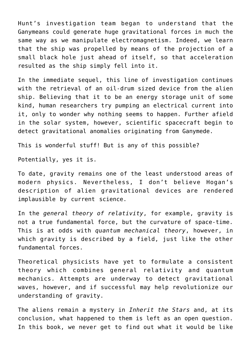Hunt's investigation team began to understand that the Ganymeans could generate huge gravitational forces in much the same way as we manipulate electromagnetism. Indeed, we learn that the ship was propelled by means of the projection of a small black hole just ahead of itself, so that acceleration resulted as the ship simply fell into it.

In the immediate sequel, this line of investigation continues with the retrieval of an oil-drum sized device from the alien ship. Believing that it to be an energy storage unit of some kind, human researchers try pumping an electrical current into it, only to wonder why nothing seems to happen. Further afield in the solar system, however, scientific spacecraft begin to detect gravitational anomalies originating from Ganymede.

This is wonderful stuff! But is any of this possible?

Potentially, yes it is.

To date, gravity remains one of the least understood areas of modern physics. Nevertheless, I don't believe Hogan's description of alien gravitational devices are rendered implausible by current science.

In the *general theory of relativity*, for example, gravity is not a true fundamental force, but the curvature of space-time. This is at odds with *quantum mechanical theory*, however, in which gravity is described by a field, just like the other fundamental forces.

Theoretical physicists have yet to formulate a consistent theory which combines general relativity and quantum mechanics. Attempts are underway to detect gravitational waves, however, and if successful may help revolutionize our understanding of gravity.

The aliens remain a mystery in *Inherit the Stars* and, at its conclusion, what happened to them is left as an open question. In this book, we never get to find out what it would be like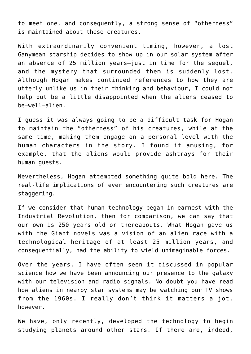to meet one, and consequently, a strong sense of "otherness" is maintained about these creatures.

With extraordinarily convenient timing, however, a lost Ganymean starship decides to show up in our solar system after an absence of 25 million years—just in time for the sequel, and the mystery that surrounded them is suddenly lost. Although Hogan makes continued references to how they are utterly unlike us in their thinking and behaviour, I could not help but be a little disappointed when the aliens ceased to be—well—alien.

I guess it was always going to be a difficult task for Hogan to maintain the "otherness" of his creatures, while at the same time, making them engage on a personal level with the human characters in the story. I found it amusing, for example, that the aliens would provide ashtrays for their human guests.

Nevertheless, Hogan attempted something quite bold here. The real-life implications of ever encountering such creatures are staggering.

If we consider that human technology began in earnest with the Industrial Revolution, then for comparison, we can say that our own is 250 years old or thereabouts. What Hogan gave us with the Giant novels was a vision of an alien race with a technological heritage of at least 25 million years, and consequentially, had the ability to wield unimaginable forces.

Over the years, I have often seen it discussed in popular science how we have been announcing our presence to the galaxy with our television and radio signals. No doubt you have read how aliens in nearby star systems may be watching our TV shows from the 1960s. I really don't think it matters a jot, however.

We have, only recently, developed the technology to begin studying planets around other stars. If there are, indeed,